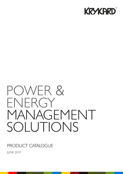

# POWER & ENERGY MANAGEMENT SOLUTIONS

### PRODUCT CATALOGUE

JUNE 2019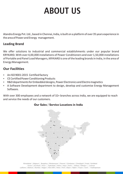# **ABOUT US**

Atandra Energy Pvt. Ltd., based in Chennai, India, is built on a platform of over 35 years experience in the area of Power and Energy management.

### **Leading Brand**

We offer solutions to industrial and commercial establishments under our popular brand KRYKARD. With over 4,00,000 installations of Power Conditioners and over 1,50,000 installations of Portable and Panel Load Managers, KRYKARD is one of the leading brands in India, in the area of Energy Management.

### **Our Facilities**

- An ISO 9001:2015 Certified factory
- CE Certified Power Conditioning Products
- R&D departments for Embedded designs, Power Electronics and Electro magnetics
- A Software Development department to design, develop and customise Energy Management Software.

With over 300 employees and a network of 32+ branches across India, we are equipped to reach and service the needs of our customers.

#### **Our Sales / Service Locations in India**

Ahmedabad | Belgaum | Bengaluru | Bhubaneswar | Chennai | Coimbatore | Chandigarh | Erode | Faridabad Guntur | Guwahati | Hosur | Hyderabad | Indore | Jaipur | Kochi | Kolkata | Kolhapur | Lucknow Ludhiana | Madurai | Mumbai | Nagpur | New Delhi | Patna | Pune | Raipur | Rajkot | Tirupur | Surat | Visakhapatnam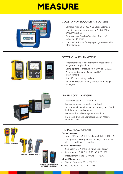## **MEASURE**



#### CLASS - A POWER QUALITY ANALYSERS

- Complies with IEC 61000-4-30 Class A standard
- High Accuracy for Instrument  $V$  & I is 0.1% and kW & kWh is 0.2s
- Captures Sags, Swells & Transients from 130 Cycles to 10K cycles
- Dranview7 software for PQ report generation with latest standards



#### POWER QUALITY ANALYSERS

- Different models to choose from to meet different budgets and applications
- Clamp options to measure from 5mA to 10,000A
- Comprehensive Power, Energy and PQ measurements
- Upto 13 hours battery backup
- Preferred by leading Energy Auditors and Energy Managers



#### PANEL LOAD MANAGERS

- Accuracy Class 0.2s, 0.5s and 1.0
- Meters for Incomers, Feeders and Loads
- Accuracy maintained under low current, low PF and high harmonic load conditions
- Meters with Load Management functions
- PQ meters, Demand Controllers, Energy Meters, Load-end meter



#### THERMAL MEASUREMENTS

#### **Thermal Imagers**

- From -20°C to  $+250$ °C; Resolution 80x80 & 160x120
- Storage voice message for each image or Combine electrical and thermal snapshots

#### **Contact Thermometers**

- Compact 1,2 & 4 channels with Backlit display
- $\cdot$  Inputs for K, J, T, N, E, R, S, PT100 & PT 1000
- Measurement range: -210 $^{\circ}$ C to +1,767 $^{\circ}$ C

#### **Infrared Thermometers**

- Distance/spot ratio (D/ø): 8/1, 12/1
- Measurement:  $-40$  °C to  $+538$  °C

**CONTACT THERMOMETERS WITH 1,2&4 CHANNELS**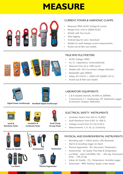## **MEASURE**



#### CURRENT, POWER & HARMONIC CLAMPS

- Measures TRMS AC/DC Voltage & Current
- Ranges from 1mA to 2000A AC/DC
- Models with True Inrush
- Data logging
- Android App for view / download
- Models for earth leakage current measurements
- Pocket size & Palm size models



#### TRUE RMS MULTIMETERS

- AC/DC Voltage 1000V
- Hz, Ω, Capacitance, Continuity/Diode
- Measures from 2k to 100k counts
- Models with NCV no-contact voltage indication
- Bandwidth upto 300kHz
- Safety: IEC 61010-1, 1000V-CAT III/600V CAT IV
- Pocket size & Palm size models





**Digital Power Oscilloscope Handheld Digital Oscilloscope**

#### LABORATORY EQUIPMENTS

- 2 & 4 isolated channels, 40 MHz to 300MHz
- 5 instruments in 1: Oscilloscope, FFT, Multimeter Logger & Harmonic Analyzer, Wattmeter



- Insulation Testers from 50V to 15,000V
- Earth Resistance from 0.001 to 100k Ω
- Leakage current from 0.2 mA to 40 A
- Measurements: V, A, Hz, Ω, Continuity

#### PHYSICAL AND ENVIRONMENTAL INSTRUMENTS

- Recording upto 1 million points, USB, Bluetooth
- Alarms & recording trigger on Alarm
- Thermo-Hygrometer RH, Dew point, Temperature
- Anemometer Air Speed, Flow Rate & Temperature
- Lux Meter Upto 2,00,000lx, LED +6% rdg, Fluorescent lamp  $- +9%$  of rdg
- Indoor Air Quality CO<sub>2</sub>, Temperature, Humidity Logger
- Tachometer RPM, Rotation Speed, Linear Speed





**Insulation &** 



**Continuity Tester** 





**Earth Clamp & Loop Tester**



**Indoor Air Quality**



**Lux Meter**

**Tachometer Anemometer**



**Thermo-Hygrometer**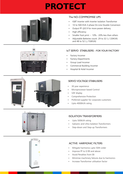## **PROTECT**



#### The NO-COMPROMISE UPS

- **IGBT Inverter with Inverter Isolation Transformer**
- 10 to 500 KVA 3 phase On-Line Double Conversion
- Output PF  $@0.9$  for more power delivery
- High efficiency
- Smaller Foot print  $\sim$  10% 20% less than others
- Adjustable Batteries count: 29 to 32 ( $\leq$ 120KVA) and 48 to 52 ( $\geq$  150KVA)

#### IoT SERVO STABILISERS - FOR YOUR FACTORY

- Factory Incomer
- **Factory Departments**
- Group Load Incomer
- Commercial Building Incomer
- Hospital & Hotel Incomer



#### SERVO VOLTAGE STABILISERS

- 30 year experience
- Microprocessor based Control
- VAF display
- Comprehensive Protection
- Preferred supplier for corporate customers
- Upto 4000kVA rating



#### ISOLATION TRANSFORMERS

- Upto 500kVA rating
- Galvanic and Ultra Isolation Transformers
- Step-down and Step-up Transformers



#### ACTIVE HARMONIC FILTERS

- Mitigate harmonics upto 50th order
- Improve PF to 0.99 and above
- Avoid Penalties from EB
- Minimise machinery failures due to harmonics
- Increase Transformer utilisation factor

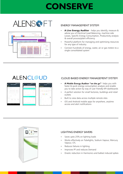# **CONSERVE**





#### ENERGY MANAGEMENT SYSTEM

- A Live Energy Auditor helps you identify, measure & advise you of Electrical Load Balancing, machine side Losses, Specific Energy Consumption, Productivity analysis & overall process/plant efficiency
- Powerful platform for managing and optimising resources for any type of industry
- Connect hundreds of energy, water, air or gas meters to a single consolidated system

### **ALENCLOUD**



#### CLOUD BASED ENERGY MANAGEMENT SYSTEM

- A Mobile Energy Auditor "on the go"- helps you with faster & quick energy consumption analysis and enable you to take action by way of user friendly KPI dashboards
- A perfect solution for small factories, buildings and retail outlets
- Built to view data across multiple remote sites
- iOS and Android mobile apps for anywhere, anytime access and alert notifications



#### LIGHTING ENERGY SAVERS

- Saves upto 25% on lighting loads
- Works effectively on Tubelights, Sodium Vapour, Mercury Vapour, CFL
- Reduces failures in lighting
- Improves PF and reduces Demand
- Drastic reduction in Harmonics and ballast induced spikes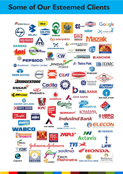### **Some of Our Esteemed Clients**